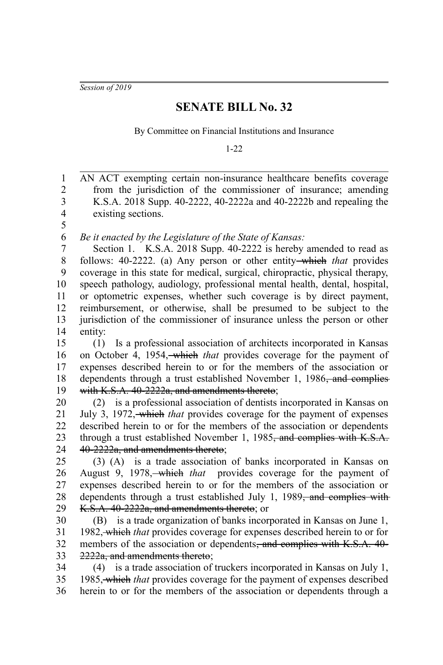*Session of 2019*

## **SENATE BILL No. 32**

By Committee on Financial Institutions and Insurance

1-22

AN ACT exempting certain non-insurance healthcare benefits coverage from the jurisdiction of the commissioner of insurance; amending K.S.A. 2018 Supp. 40-2222, 40-2222a and 40-2222b and repealing the existing sections. *Be it enacted by the Legislature of the State of Kansas:* Section 1. K.S.A. 2018 Supp. 40-2222 is hereby amended to read as follows: 40-2222. (a) Any person or other entity which *that* provides coverage in this state for medical, surgical, chiropractic, physical therapy, speech pathology, audiology, professional mental health, dental, hospital, or optometric expenses, whether such coverage is by direct payment, reimbursement, or otherwise, shall be presumed to be subject to the jurisdiction of the commissioner of insurance unless the person or other entity: (1) Is a professional association of architects incorporated in Kansas on October 4, 1954, which *that* provides coverage for the payment of expenses described herein to or for the members of the association or dependents through a trust established November 1, 1986<del>, and complies</del> with K.S.A. 40-2222a, and amendments thereto; (2) is a professional association of dentists incorporated in Kansas on July 3, 1972, which *that* provides coverage for the payment of expenses described herein to or for the members of the association or dependents through a trust established November 1, 1985<del>, and complies with K.S.A.</del> 40-2222a, and amendments thereto; (3) (A) is a trade association of banks incorporated in Kansas on August 9, 1978, which *that* provides coverage for the payment of expenses described herein to or for the members of the association or dependents through a trust established July 1, 1989<del>, and complies with</del> K.S.A. 40-2222a, and amendments thereto; or (B) is a trade organization of banks incorporated in Kansas on June 1, 1982, which *that* provides coverage for expenses described herein to or for members of the association or dependents, and complies with K.S.A. 40-2222a, and amendments thereto; (4) is a trade association of truckers incorporated in Kansas on July 1, 1985, which *that* provides coverage for the payment of expenses described herein to or for the members of the association or dependents through a 1 2 3 4 5 6 7 8 9 10 11 12 13 14 15 16 17 18 19 20 21 22 23 24 25 26 27 28 29 30 31 32 33 34 35 36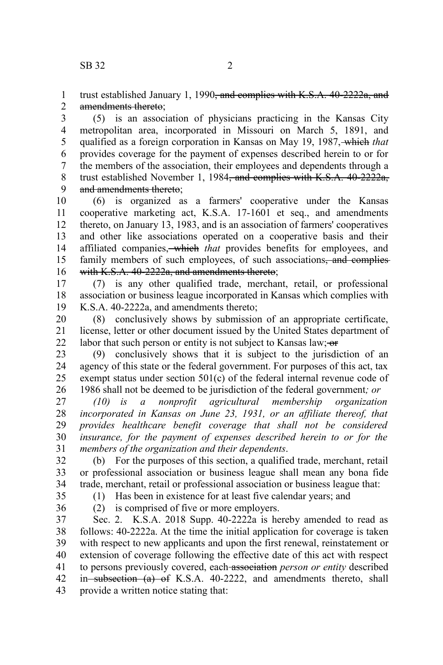trust established January 1, 1990<del>, and complies with K.S.A. 40-2222a, and</del> amendments thereto; 1 2

(5) is an association of physicians practicing in the Kansas City metropolitan area, incorporated in Missouri on March 5, 1891, and qualified as a foreign corporation in Kansas on May 19, 1987, which *that* provides coverage for the payment of expenses described herein to or for the members of the association, their employees and dependents through a trust established November 1, 1984, and complies with K.S.A. 40-2222a, and amendments thereto; 3 4 5 6 7 8 9

(6) is organized as a farmers' cooperative under the Kansas cooperative marketing act, K.S.A. 17-1601 et seq., and amendments thereto, on January 13, 1983, and is an association of farmers' cooperatives and other like associations operated on a cooperative basis and their affiliated companies, which *that* provides benefits for employees, and family members of such employees, of such associations<del>, and complies</del> with K.S.A. 40-2222a, and amendments thereto; 10 11 12 13 14 15 16

(7) is any other qualified trade, merchant, retail, or professional association or business league incorporated in Kansas which complies with K.S.A. 40-2222a, and amendments thereto; 17 18 19

(8) conclusively shows by submission of an appropriate certificate, license, letter or other document issued by the United States department of labor that such person or entity is not subject to Kansas law;  $\sigma$ 20 21 22

(9) conclusively shows that it is subject to the jurisdiction of an agency of this state or the federal government. For purposes of this act, tax exempt status under section 501(c) of the federal internal revenue code of 1986 shall not be deemed to be jurisdiction of the federal government*; or* 23 24 25 26

*(10) is a nonprofit agricultural membership organization incorporated in Kansas on June 23, 1931, or an affiliate thereof, that provides healthcare benefit coverage that shall not be considered insurance, for the payment of expenses described herein to or for the members of the organization and their dependents*. 27 28 29 30 31

(b) For the purposes of this section, a qualified trade, merchant, retail or professional association or business league shall mean any bona fide trade, merchant, retail or professional association or business league that: 32 33 34

(1) Has been in existence for at least five calendar years; and

35 36

(2) is comprised of five or more employers.

Sec. 2. K.S.A. 2018 Supp. 40-2222a is hereby amended to read as follows: 40-2222a. At the time the initial application for coverage is taken with respect to new applicants and upon the first renewal, reinstatement or extension of coverage following the effective date of this act with respect to persons previously covered, each association *person or entity* described in subsection (a) of K.S.A. 40-2222, and amendments thereto, shall provide a written notice stating that: 37 38 39 40 41 42 43